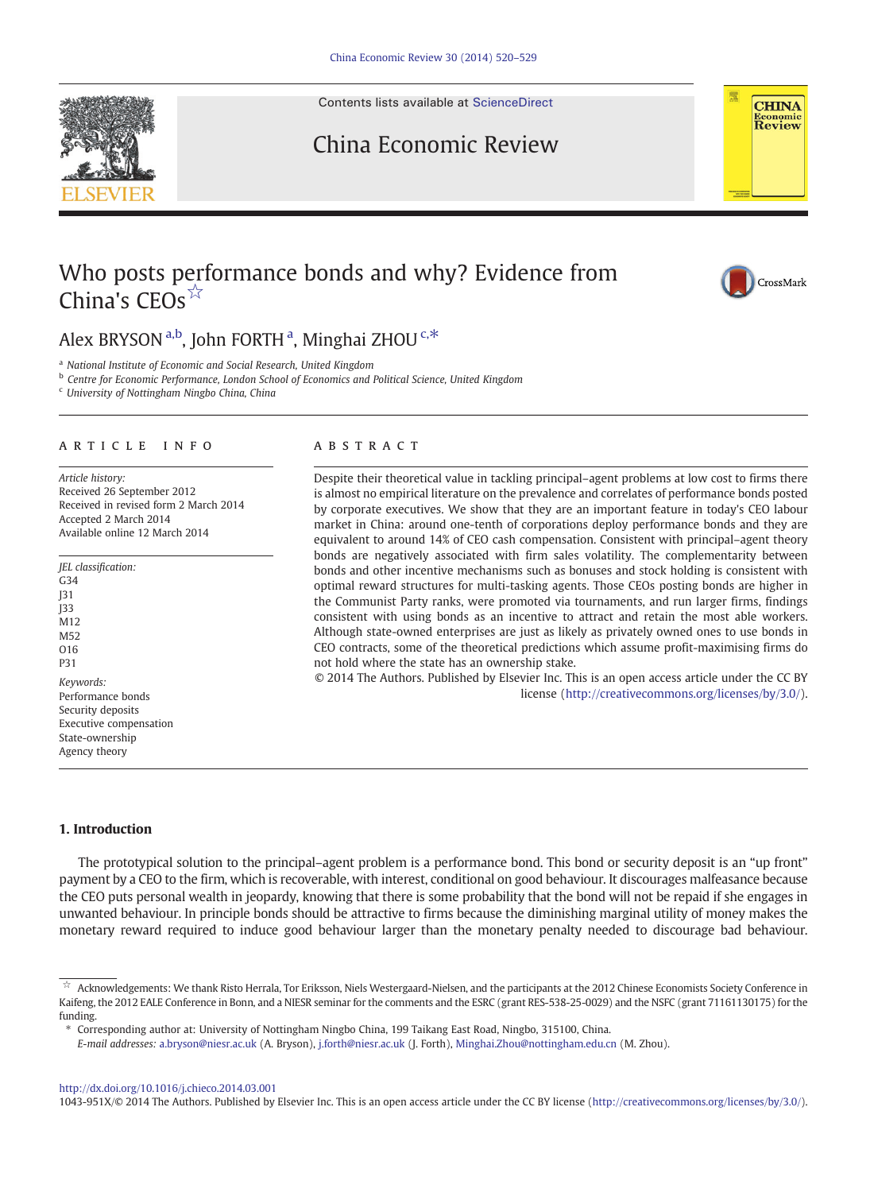Contents lists available at [ScienceDirect](http://www.sciencedirect.com/science/journal/1043951X)

# China Economic Review

# Who posts performance bonds and why? Evidence from China's CEOs☆

Alex BRYSON <sup>a,b</sup>, John FORTH <sup>a</sup>, Minghai ZHOU <sup>c,\*</sup>

<sup>a</sup> National Institute of Economic and Social Research, United Kingdom

b Centre for Economic Performance, London School of Economics and Political Science, United Kingdom

<sup>c</sup> University of Nottingham Ningbo China, China

# article info abstract

Article history: Received 26 September 2012 Received in revised form 2 March 2014 Accepted 2 March 2014 Available online 12 March 2014

JEL classification:  $G<sub>34</sub>$ J31 J33 M12 M52 O16 P31 Keywords: Performance bonds Security deposits Executive compensation State-ownership Agency theory

Despite their theoretical value in tackling principal–agent problems at low cost to firms there is almost no empirical literature on the prevalence and correlates of performance bonds posted by corporate executives. We show that they are an important feature in today's CEO labour market in China: around one-tenth of corporations deploy performance bonds and they are equivalent to around 14% of CEO cash compensation. Consistent with principal–agent theory bonds are negatively associated with firm sales volatility. The complementarity between bonds and other incentive mechanisms such as bonuses and stock holding is consistent with optimal reward structures for multi-tasking agents. Those CEOs posting bonds are higher in the Communist Party ranks, were promoted via tournaments, and run larger firms, findings consistent with using bonds as an incentive to attract and retain the most able workers. Although state-owned enterprises are just as likely as privately owned ones to use bonds in CEO contracts, some of the theoretical predictions which assume profit-maximising firms do not hold where the state has an ownership stake.

© 2014 The Authors. Published by Elsevier Inc. This is an open access article under the CC BY license (http://creativecommons.org/licenses/by/3.0/).

# 1. Introduction

The prototypical solution to the principal–agent problem is a performance bond. This bond or security deposit is an "up front" payment by a CEO to the firm, which is recoverable, with interest, conditional on good behaviour. It discourages malfeasance because the CEO puts personal wealth in jeopardy, knowing that there is some probability that the bond will not be repaid if she engages in unwanted behaviour. In principle bonds should be attractive to firms because the diminishing marginal utility of money makes the monetary reward required to induce good behaviour larger than the monetary penalty needed to discourage bad behaviour.

<http://dx.doi.org/10.1016/j.chieco.2014.03.001>

1043-951X/© 2014 The Authors. Published by Elsevier Inc. This is an open access article under the CC BY license (http://creativecommons.org/licenses/by/3.0/).







<sup>☆</sup> Acknowledgements: We thank Risto Herrala, Tor Eriksson, Niels Westergaard-Nielsen, and the participants at the 2012 Chinese Economists Society Conference in Kaifeng, the 2012 EALE Conference in Bonn, and a NIESR seminar for the comments and the ESRC (grant RES-538-25-0029) and the NSFC (grant 71161130175) for the funding.

<sup>⁎</sup> Corresponding author at: University of Nottingham Ningbo China, 199 Taikang East Road, Ningbo, 315100, China.

E-mail addresses: [a.bryson@niesr.ac.uk](mailto:a.bryson@niesr.ac.uk) (A. Bryson), [j.forth@niesr.ac.uk](mailto:j.forth@niesr.ac.uk) (J. Forth), [Minghai.Zhou@nottingham.edu.cn](mailto:Minghai.Zhou@nottingham.edu.cn) (M. Zhou).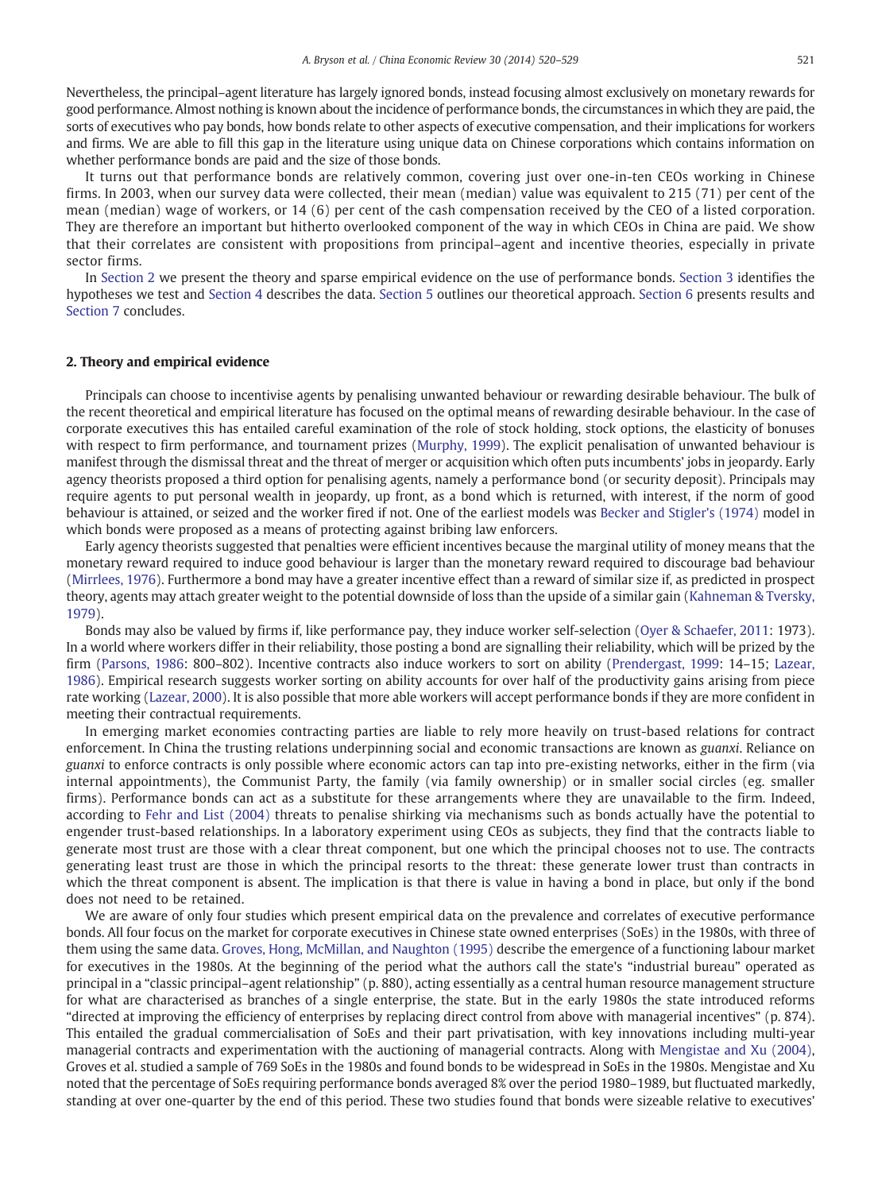Nevertheless, the principal–agent literature has largely ignored bonds, instead focusing almost exclusively on monetary rewards for good performance. Almost nothing is known about the incidence of performance bonds, the circumstances in which they are paid, the sorts of executives who pay bonds, how bonds relate to other aspects of executive compensation, and their implications for workers and firms. We are able to fill this gap in the literature using unique data on Chinese corporations which contains information on whether performance bonds are paid and the size of those bonds.

It turns out that performance bonds are relatively common, covering just over one-in-ten CEOs working in Chinese firms. In 2003, when our survey data were collected, their mean (median) value was equivalent to 215 (71) per cent of the mean (median) wage of workers, or 14 (6) per cent of the cash compensation received by the CEO of a listed corporation. They are therefore an important but hitherto overlooked component of the way in which CEOs in China are paid. We show that their correlates are consistent with propositions from principal–agent and incentive theories, especially in private sector firms.

In Section 2 we present the theory and sparse empirical evidence on the use of performance bonds. [Section 3](#page-2-0) identifies the hypotheses we test and [Section 4](#page-3-0) describes the data. [Section 5](#page-5-0) outlines our theoretical approach. [Section 6](#page-5-0) presents results and [Section 7](#page-7-0) concludes.

# 2. Theory and empirical evidence

Principals can choose to incentivise agents by penalising unwanted behaviour or rewarding desirable behaviour. The bulk of the recent theoretical and empirical literature has focused on the optimal means of rewarding desirable behaviour. In the case of corporate executives this has entailed careful examination of the role of stock holding, stock options, the elasticity of bonuses with respect to firm performance, and tournament prizes ([Murphy, 1999\)](#page-9-0). The explicit penalisation of unwanted behaviour is manifest through the dismissal threat and the threat of merger or acquisition which often puts incumbents' jobs in jeopardy. Early agency theorists proposed a third option for penalising agents, namely a performance bond (or security deposit). Principals may require agents to put personal wealth in jeopardy, up front, as a bond which is returned, with interest, if the norm of good behaviour is attained, or seized and the worker fired if not. One of the earliest models was [Becker and Stigler's \(1974\)](#page-9-0) model in which bonds were proposed as a means of protecting against bribing law enforcers.

Early agency theorists suggested that penalties were efficient incentives because the marginal utility of money means that the monetary reward required to induce good behaviour is larger than the monetary reward required to discourage bad behaviour ([Mirrlees, 1976](#page-9-0)). Furthermore a bond may have a greater incentive effect than a reward of similar size if, as predicted in prospect theory, agents may attach greater weight to the potential downside of loss than the upside of a similar gain [\(Kahneman & Tversky,](#page-9-0) [1979](#page-9-0)).

Bonds may also be valued by firms if, like performance pay, they induce worker self-selection ([Oyer & Schaefer, 2011:](#page-9-0) 1973). In a world where workers differ in their reliability, those posting a bond are signalling their reliability, which will be prized by the firm [\(Parsons, 1986](#page-9-0): 800–802). Incentive contracts also induce workers to sort on ability [\(Prendergast, 1999:](#page-9-0) 14–15; [Lazear,](#page-9-0) [1986](#page-9-0)). Empirical research suggests worker sorting on ability accounts for over half of the productivity gains arising from piece rate working ([Lazear, 2000](#page-9-0)). It is also possible that more able workers will accept performance bonds if they are more confident in meeting their contractual requirements.

In emerging market economies contracting parties are liable to rely more heavily on trust-based relations for contract enforcement. In China the trusting relations underpinning social and economic transactions are known as guanxi. Reliance on guanxi to enforce contracts is only possible where economic actors can tap into pre-existing networks, either in the firm (via internal appointments), the Communist Party, the family (via family ownership) or in smaller social circles (eg. smaller firms). Performance bonds can act as a substitute for these arrangements where they are unavailable to the firm. Indeed, according to [Fehr and List \(2004\)](#page-9-0) threats to penalise shirking via mechanisms such as bonds actually have the potential to engender trust-based relationships. In a laboratory experiment using CEOs as subjects, they find that the contracts liable to generate most trust are those with a clear threat component, but one which the principal chooses not to use. The contracts generating least trust are those in which the principal resorts to the threat: these generate lower trust than contracts in which the threat component is absent. The implication is that there is value in having a bond in place, but only if the bond does not need to be retained.

We are aware of only four studies which present empirical data on the prevalence and correlates of executive performance bonds. All four focus on the market for corporate executives in Chinese state owned enterprises (SoEs) in the 1980s, with three of them using the same data. [Groves, Hong, McMillan, and Naughton \(1995\)](#page-9-0) describe the emergence of a functioning labour market for executives in the 1980s. At the beginning of the period what the authors call the state's "industrial bureau" operated as principal in a "classic principal–agent relationship" (p. 880), acting essentially as a central human resource management structure for what are characterised as branches of a single enterprise, the state. But in the early 1980s the state introduced reforms "directed at improving the efficiency of enterprises by replacing direct control from above with managerial incentives" (p. 874). This entailed the gradual commercialisation of SoEs and their part privatisation, with key innovations including multi-year managerial contracts and experimentation with the auctioning of managerial contracts. Along with [Mengistae and Xu \(2004\),](#page-9-0) Groves et al. studied a sample of 769 SoEs in the 1980s and found bonds to be widespread in SoEs in the 1980s. Mengistae and Xu noted that the percentage of SoEs requiring performance bonds averaged 8% over the period 1980–1989, but fluctuated markedly, standing at over one-quarter by the end of this period. These two studies found that bonds were sizeable relative to executives'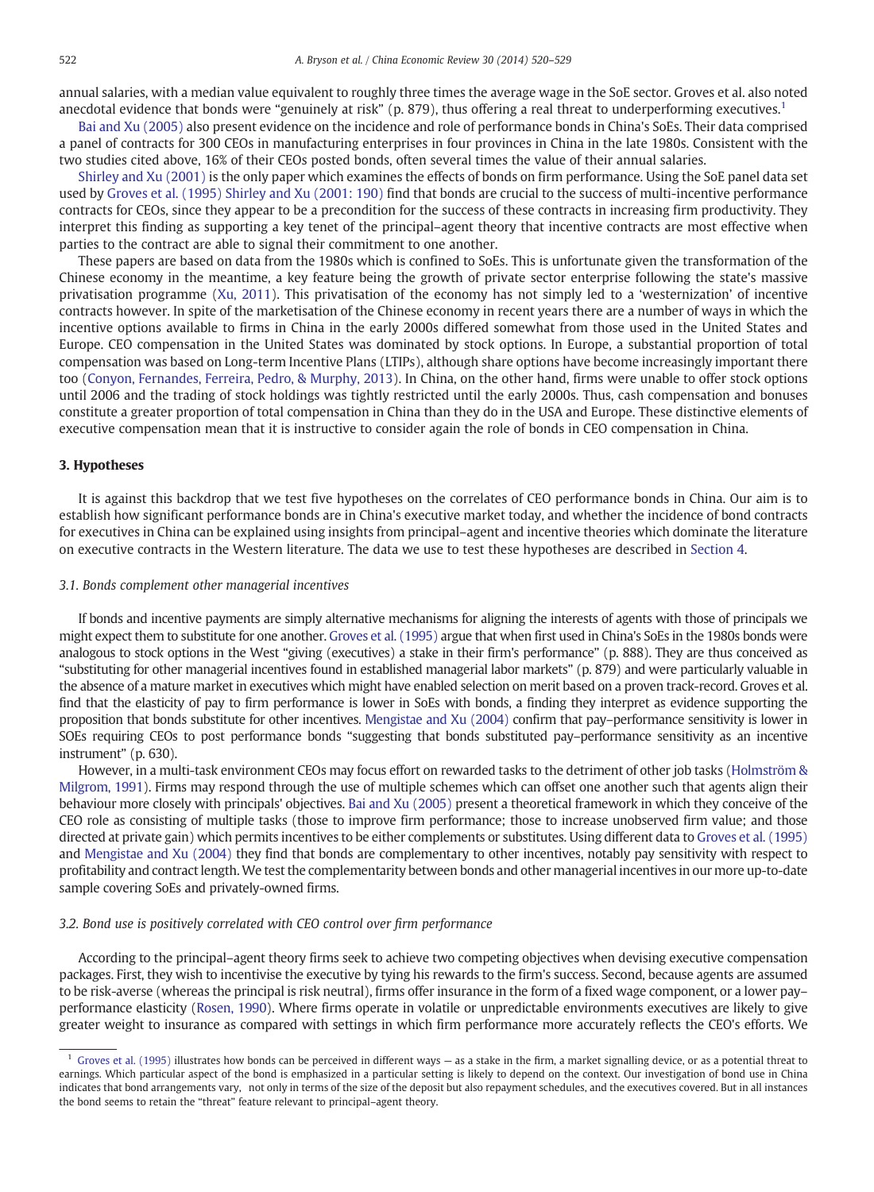<span id="page-2-0"></span>annual salaries, with a median value equivalent to roughly three times the average wage in the SoE sector. Groves et al. also noted anecdotal evidence that bonds were "genuinely at risk" (p. 879), thus offering a real threat to underperforming executives.<sup>1</sup>

[Bai and Xu \(2005\)](#page-9-0) also present evidence on the incidence and role of performance bonds in China's SoEs. Their data comprised a panel of contracts for 300 CEOs in manufacturing enterprises in four provinces in China in the late 1980s. Consistent with the two studies cited above, 16% of their CEOs posted bonds, often several times the value of their annual salaries.

[Shirley and Xu \(2001\)](#page-9-0) is the only paper which examines the effects of bonds on firm performance. Using the SoE panel data set used by [Groves et al. \(1995\) Shirley and Xu \(2001: 190\)](#page-9-0) find that bonds are crucial to the success of multi-incentive performance contracts for CEOs, since they appear to be a precondition for the success of these contracts in increasing firm productivity. They interpret this finding as supporting a key tenet of the principal–agent theory that incentive contracts are most effective when parties to the contract are able to signal their commitment to one another.

These papers are based on data from the 1980s which is confined to SoEs. This is unfortunate given the transformation of the Chinese economy in the meantime, a key feature being the growth of private sector enterprise following the state's massive privatisation programme ([Xu, 2011\)](#page-9-0). This privatisation of the economy has not simply led to a 'westernization' of incentive contracts however. In spite of the marketisation of the Chinese economy in recent years there are a number of ways in which the incentive options available to firms in China in the early 2000s differed somewhat from those used in the United States and Europe. CEO compensation in the United States was dominated by stock options. In Europe, a substantial proportion of total compensation was based on Long-term Incentive Plans (LTIPs), although share options have become increasingly important there too ([Conyon, Fernandes, Ferreira, Pedro, & Murphy, 2013\)](#page-9-0). In China, on the other hand, firms were unable to offer stock options until 2006 and the trading of stock holdings was tightly restricted until the early 2000s. Thus, cash compensation and bonuses constitute a greater proportion of total compensation in China than they do in the USA and Europe. These distinctive elements of executive compensation mean that it is instructive to consider again the role of bonds in CEO compensation in China.

# 3. Hypotheses

It is against this backdrop that we test five hypotheses on the correlates of CEO performance bonds in China. Our aim is to establish how significant performance bonds are in China's executive market today, and whether the incidence of bond contracts for executives in China can be explained using insights from principal–agent and incentive theories which dominate the literature on executive contracts in the Western literature. The data we use to test these hypotheses are described in [Section 4.](#page-3-0)

# 3.1. Bonds complement other managerial incentives

If bonds and incentive payments are simply alternative mechanisms for aligning the interests of agents with those of principals we might expect them to substitute for one another. [Groves et al. \(1995\)](#page-9-0) argue that when first used in China's SoEs in the 1980s bonds were analogous to stock options in the West "giving (executives) a stake in their firm's performance" (p. 888). They are thus conceived as "substituting for other managerial incentives found in established managerial labor markets" (p. 879) and were particularly valuable in the absence of a mature market in executives which might have enabled selection on merit based on a proven track-record. Groves et al. find that the elasticity of pay to firm performance is lower in SoEs with bonds, a finding they interpret as evidence supporting the proposition that bonds substitute for other incentives. [Mengistae and Xu \(2004\)](#page-9-0) confirm that pay–performance sensitivity is lower in SOEs requiring CEOs to post performance bonds "suggesting that bonds substituted pay–performance sensitivity as an incentive instrument" (p. 630).

However, in a multi-task environment CEOs may focus effort on rewarded tasks to the detriment of other job tasks [\(Holmström &](#page-9-0) [Milgrom, 1991](#page-9-0)). Firms may respond through the use of multiple schemes which can offset one another such that agents align their behaviour more closely with principals' objectives. [Bai and Xu \(2005\)](#page-9-0) present a theoretical framework in which they conceive of the CEO role as consisting of multiple tasks (those to improve firm performance; those to increase unobserved firm value; and those directed at private gain) which permits incentives to be either complements or substitutes. Using different data to [Groves et al. \(1995\)](#page-9-0) and [Mengistae and Xu \(2004\)](#page-9-0) they find that bonds are complementary to other incentives, notably pay sensitivity with respect to profitability and contract length.We test the complementarity between bonds and other managerial incentives in our more up-to-date sample covering SoEs and privately-owned firms.

# 3.2. Bond use is positively correlated with CEO control over firm performance

According to the principal–agent theory firms seek to achieve two competing objectives when devising executive compensation packages. First, they wish to incentivise the executive by tying his rewards to the firm's success. Second, because agents are assumed to be risk-averse (whereas the principal is risk neutral), firms offer insurance in the form of a fixed wage component, or a lower pay– performance elasticity [\(Rosen, 1990\)](#page-9-0). Where firms operate in volatile or unpredictable environments executives are likely to give greater weight to insurance as compared with settings in which firm performance more accurately reflects the CEO's efforts. We

<sup>1</sup> [Groves et al. \(1995\)](#page-9-0) illustrates how bonds can be perceived in different ways — as a stake in the firm, a market signalling device, or as a potential threat to earnings. Which particular aspect of the bond is emphasized in a particular setting is likely to depend on the context. Our investigation of bond use in China indicates that bond arrangements vary, not only in terms of the size of the deposit but also repayment schedules, and the executives covered. But in all instances the bond seems to retain the "threat" feature relevant to principal–agent theory.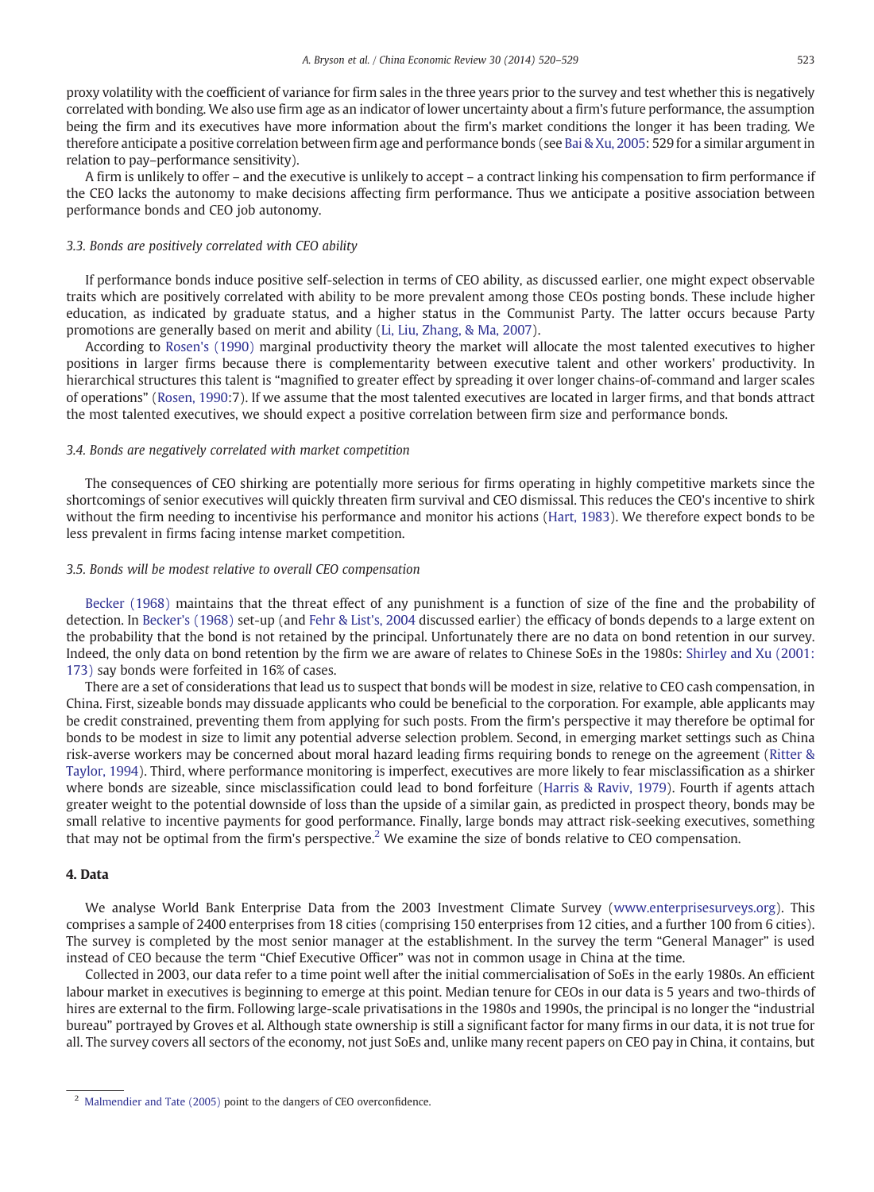<span id="page-3-0"></span>proxy volatility with the coefficient of variance for firm sales in the three years prior to the survey and test whether this is negatively correlated with bonding. We also use firm age as an indicator of lower uncertainty about a firm's future performance, the assumption being the firm and its executives have more information about the firm's market conditions the longer it has been trading. We therefore anticipate a positive correlation between firm age and performance bonds (see [Bai & Xu, 2005](#page-9-0): 529 for a similar argument in relation to pay–performance sensitivity).

A firm is unlikely to offer – and the executive is unlikely to accept – a contract linking his compensation to firm performance if the CEO lacks the autonomy to make decisions affecting firm performance. Thus we anticipate a positive association between performance bonds and CEO job autonomy.

# 3.3. Bonds are positively correlated with CEO ability

If performance bonds induce positive self-selection in terms of CEO ability, as discussed earlier, one might expect observable traits which are positively correlated with ability to be more prevalent among those CEOs posting bonds. These include higher education, as indicated by graduate status, and a higher status in the Communist Party. The latter occurs because Party promotions are generally based on merit and ability [\(Li, Liu, Zhang, & Ma, 2007](#page-9-0)).

According to [Rosen's \(1990\)](#page-9-0) marginal productivity theory the market will allocate the most talented executives to higher positions in larger firms because there is complementarity between executive talent and other workers' productivity. In hierarchical structures this talent is "magnified to greater effect by spreading it over longer chains-of-command and larger scales of operations" [\(Rosen, 1990:](#page-9-0)7). If we assume that the most talented executives are located in larger firms, and that bonds attract the most talented executives, we should expect a positive correlation between firm size and performance bonds.

# 3.4. Bonds are negatively correlated with market competition

The consequences of CEO shirking are potentially more serious for firms operating in highly competitive markets since the shortcomings of senior executives will quickly threaten firm survival and CEO dismissal. This reduces the CEO's incentive to shirk without the firm needing to incentivise his performance and monitor his actions [\(Hart, 1983\)](#page-9-0). We therefore expect bonds to be less prevalent in firms facing intense market competition.

# 3.5. Bonds will be modest relative to overall CEO compensation

[Becker \(1968\)](#page-9-0) maintains that the threat effect of any punishment is a function of size of the fine and the probability of detection. In [Becker's \(1968\)](#page-9-0) set-up (and [Fehr & List's, 2004](#page-9-0) discussed earlier) the efficacy of bonds depends to a large extent on the probability that the bond is not retained by the principal. Unfortunately there are no data on bond retention in our survey. Indeed, the only data on bond retention by the firm we are aware of relates to Chinese SoEs in the 1980s: [Shirley and Xu \(2001:](#page-9-0) [173\)](#page-9-0) say bonds were forfeited in 16% of cases.

There are a set of considerations that lead us to suspect that bonds will be modest in size, relative to CEO cash compensation, in China. First, sizeable bonds may dissuade applicants who could be beneficial to the corporation. For example, able applicants may be credit constrained, preventing them from applying for such posts. From the firm's perspective it may therefore be optimal for bonds to be modest in size to limit any potential adverse selection problem. Second, in emerging market settings such as China risk-averse workers may be concerned about moral hazard leading firms requiring bonds to renege on the agreement [\(Ritter &](#page-9-0) [Taylor, 1994](#page-9-0)). Third, where performance monitoring is imperfect, executives are more likely to fear misclassification as a shirker where bonds are sizeable, since misclassification could lead to bond forfeiture ([Harris & Raviv, 1979](#page-9-0)). Fourth if agents attach greater weight to the potential downside of loss than the upside of a similar gain, as predicted in prospect theory, bonds may be small relative to incentive payments for good performance. Finally, large bonds may attract risk-seeking executives, something that may not be optimal from the firm's perspective.<sup>2</sup> We examine the size of bonds relative to CEO compensation.

# 4. Data

We analyse World Bank Enterprise Data from the 2003 Investment Climate Survey [\(www.enterprisesurveys.org](http://www.enterprisesurveys.org)). This comprises a sample of 2400 enterprises from 18 cities (comprising 150 enterprises from 12 cities, and a further 100 from 6 cities). The survey is completed by the most senior manager at the establishment. In the survey the term "General Manager" is used instead of CEO because the term "Chief Executive Officer" was not in common usage in China at the time.

Collected in 2003, our data refer to a time point well after the initial commercialisation of SoEs in the early 1980s. An efficient labour market in executives is beginning to emerge at this point. Median tenure for CEOs in our data is 5 years and two-thirds of hires are external to the firm. Following large-scale privatisations in the 1980s and 1990s, the principal is no longer the "industrial bureau" portrayed by Groves et al. Although state ownership is still a significant factor for many firms in our data, it is not true for all. The survey covers all sectors of the economy, not just SoEs and, unlike many recent papers on CEO pay in China, it contains, but

<sup>&</sup>lt;sup>2</sup> [Malmendier and Tate \(2005\)](#page-9-0) point to the dangers of CEO overconfidence.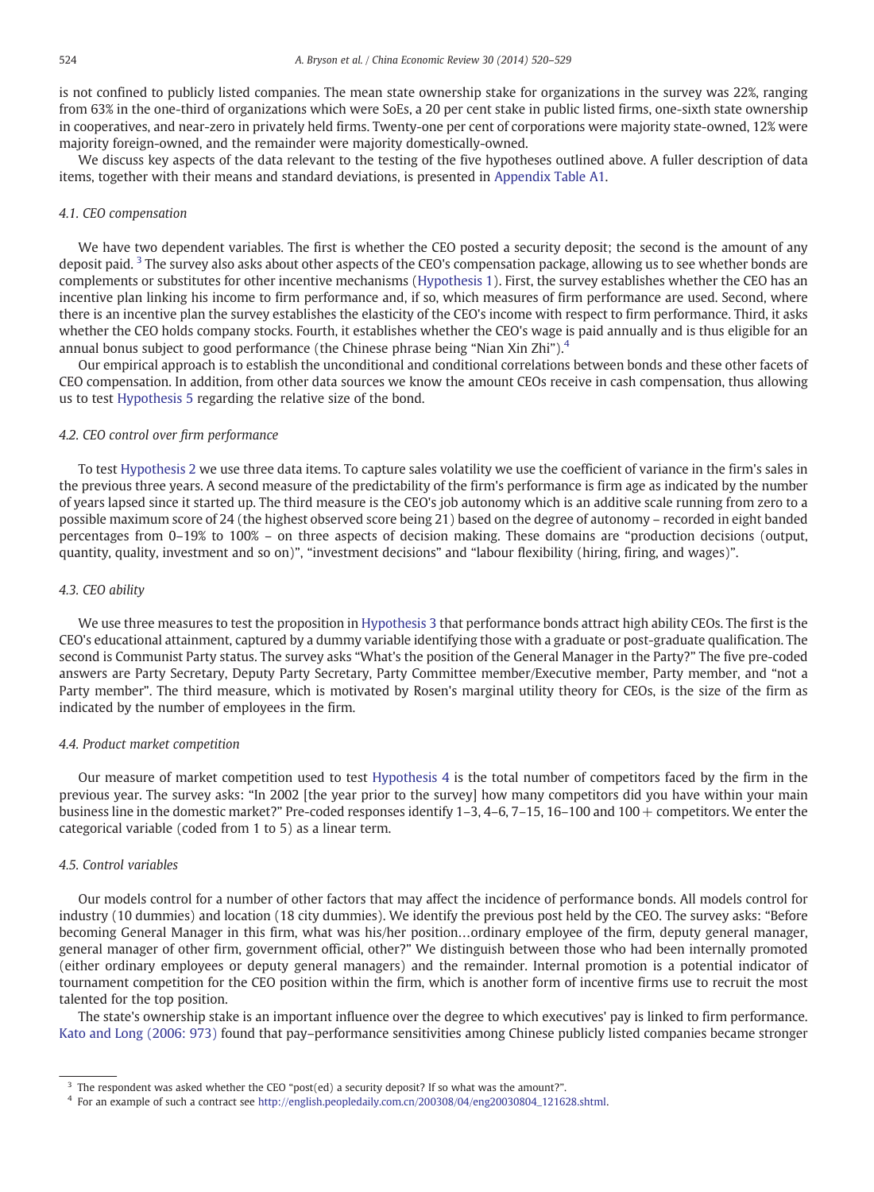is not confined to publicly listed companies. The mean state ownership stake for organizations in the survey was 22%, ranging from 63% in the one-third of organizations which were SoEs, a 20 per cent stake in public listed firms, one-sixth state ownership in cooperatives, and near-zero in privately held firms. Twenty-one per cent of corporations were majority state-owned, 12% were majority foreign-owned, and the remainder were majority domestically-owned.

We discuss key aspects of the data relevant to the testing of the five hypotheses outlined above. A fuller description of data items, together with their means and standard deviations, is presented in Appendix Table A1.

# 4.1. CEO compensation

We have two dependent variables. The first is whether the CEO posted a security deposit; the second is the amount of any deposit paid.<sup>3</sup> The survey also asks about other aspects of the CEO's compensation package, allowing us to see whether bonds are complements or substitutes for other incentive mechanisms [\(Hypothesis 1](#page-5-0)). First, the survey establishes whether the CEO has an incentive plan linking his income to firm performance and, if so, which measures of firm performance are used. Second, where there is an incentive plan the survey establishes the elasticity of the CEO's income with respect to firm performance. Third, it asks whether the CEO holds company stocks. Fourth, it establishes whether the CEO's wage is paid annually and is thus eligible for an annual bonus subject to good performance (the Chinese phrase being "Nian Xin Zhi").<sup>4</sup>

Our empirical approach is to establish the unconditional and conditional correlations between bonds and these other facets of CEO compensation. In addition, from other data sources we know the amount CEOs receive in cash compensation, thus allowing us to test [Hypothesis 5](#page-7-0) regarding the relative size of the bond.

#### 4.2. CEO control over firm performance

To test [Hypothesis 2](#page-6-0) we use three data items. To capture sales volatility we use the coefficient of variance in the firm's sales in the previous three years. A second measure of the predictability of the firm's performance is firm age as indicated by the number of years lapsed since it started up. The third measure is the CEO's job autonomy which is an additive scale running from zero to a possible maximum score of 24 (the highest observed score being 21) based on the degree of autonomy – recorded in eight banded percentages from 0–19% to 100% – on three aspects of decision making. These domains are "production decisions (output, quantity, quality, investment and so on)", "investment decisions" and "labour flexibility (hiring, firing, and wages)".

# 4.3. CEO ability

We use three measures to test the proposition in [Hypothesis 3](#page-7-0) that performance bonds attract high ability CEOs. The first is the CEO's educational attainment, captured by a dummy variable identifying those with a graduate or post-graduate qualification. The second is Communist Party status. The survey asks "What's the position of the General Manager in the Party?" The five pre-coded answers are Party Secretary, Deputy Party Secretary, Party Committee member/Executive member, Party member, and "not a Party member". The third measure, which is motivated by Rosen's marginal utility theory for CEOs, is the size of the firm as indicated by the number of employees in the firm.

# 4.4. Product market competition

Our measure of market competition used to test [Hypothesis 4](#page-7-0) is the total number of competitors faced by the firm in the previous year. The survey asks: "In 2002 [the year prior to the survey] how many competitors did you have within your main business line in the domestic market?" Pre-coded responses identify 1–3, 4–6, 7–15, 16–100 and 100+ competitors. We enter the categorical variable (coded from 1 to 5) as a linear term.

#### 4.5. Control variables

Our models control for a number of other factors that may affect the incidence of performance bonds. All models control for industry (10 dummies) and location (18 city dummies). We identify the previous post held by the CEO. The survey asks: "Before becoming General Manager in this firm, what was his/her position…ordinary employee of the firm, deputy general manager, general manager of other firm, government official, other?" We distinguish between those who had been internally promoted (either ordinary employees or deputy general managers) and the remainder. Internal promotion is a potential indicator of tournament competition for the CEO position within the firm, which is another form of incentive firms use to recruit the most talented for the top position.

The state's ownership stake is an important influence over the degree to which executives' pay is linked to firm performance. [Kato and Long \(2006: 973\)](#page-9-0) found that pay–performance sensitivities among Chinese publicly listed companies became stronger

<sup>&</sup>lt;sup>3</sup> The respondent was asked whether the CEO "post(ed) a security deposit? If so what was the amount?".

<sup>4</sup> For an example of such a contract see [http://english.peopledaily.com.cn/200308/04/eng20030804\\_121628.shtml.](http://english.peopledaily.com.cn/200308/04/eng20030804_121628.shtml)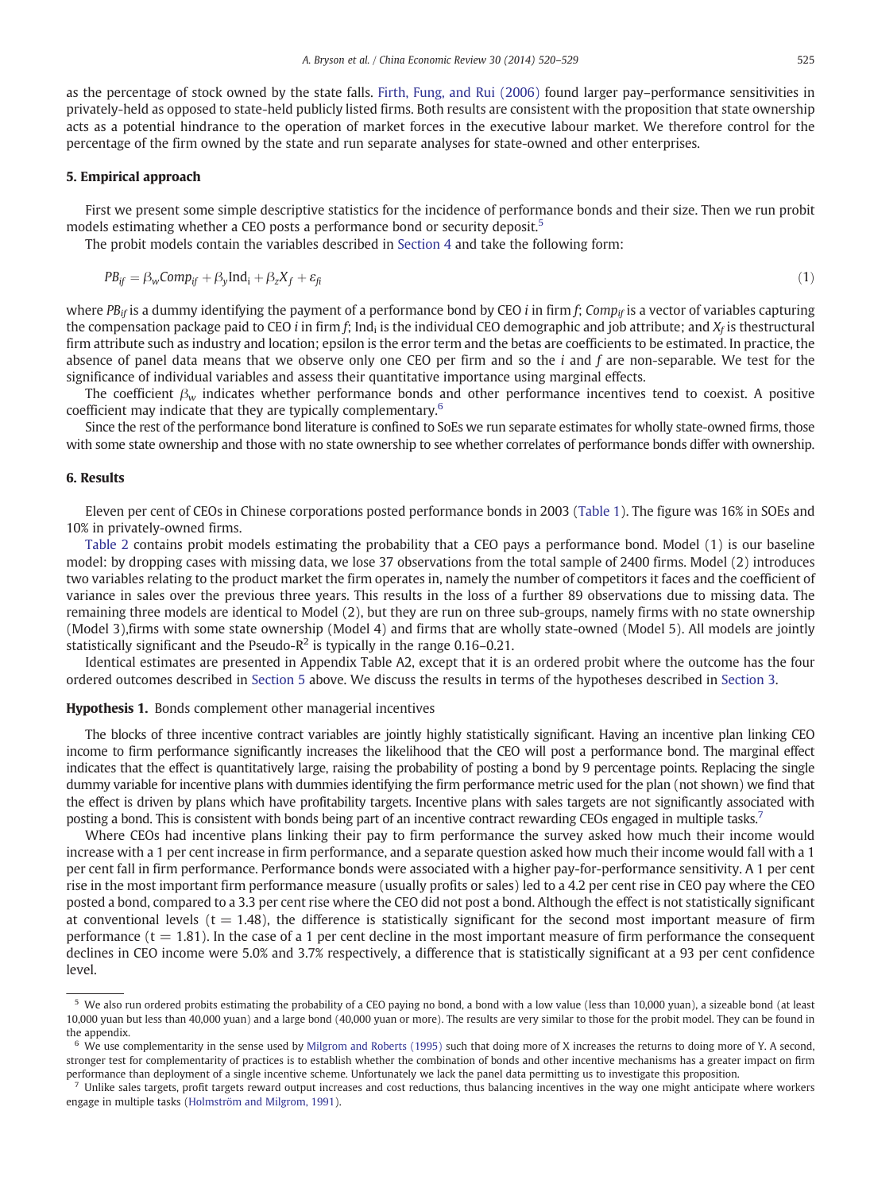<span id="page-5-0"></span>as the percentage of stock owned by the state falls. [Firth, Fung, and Rui \(2006\)](#page-9-0) found larger pay–performance sensitivities in privately-held as opposed to state-held publicly listed firms. Both results are consistent with the proposition that state ownership acts as a potential hindrance to the operation of market forces in the executive labour market. We therefore control for the percentage of the firm owned by the state and run separate analyses for state-owned and other enterprises.

# 5. Empirical approach

First we present some simple descriptive statistics for the incidence of performance bonds and their size. Then we run probit models estimating whether a CEO posts a performance bond or security deposit.<sup>5</sup>

The probit models contain the variables described in [Section 4](#page-3-0) and take the following form:

$$
PB_{if} = \beta_w Comp_{if} + \beta_y Ind_i + \beta_z X_f + \varepsilon_{fi}
$$
 (1)

where  $PB_{if}$  is a dummy identifying the payment of a performance bond by CEO *i* in firm f; Comp<sub>if</sub> is a vector of variables capturing the compensation package paid to CEO *i* in firm f; Ind<sub>i</sub> is the individual CEO demographic and job attribute; and  $X_f$  is thestructural firm attribute such as industry and location; epsilon is the error term and the betas are coefficients to be estimated. In practice, the absence of panel data means that we observe only one CEO per firm and so the  $i$  and  $f$  are non-separable. We test for the significance of individual variables and assess their quantitative importance using marginal effects.

The coefficient  $\beta_w$  indicates whether performance bonds and other performance incentives tend to coexist. A positive coefficient may indicate that they are typically complementary.6

Since the rest of the performance bond literature is confined to SoEs we run separate estimates for wholly state-owned firms, those with some state ownership and those with no state ownership to see whether correlates of performance bonds differ with ownership.

# 6. Results

Eleven per cent of CEOs in Chinese corporations posted performance bonds in 2003 [\(Table 1](#page-6-0)). The figure was 16% in SOEs and 10% in privately-owned firms.

[Table 2](#page-6-0) contains probit models estimating the probability that a CEO pays a performance bond. Model (1) is our baseline model: by dropping cases with missing data, we lose 37 observations from the total sample of 2400 firms. Model (2) introduces two variables relating to the product market the firm operates in, namely the number of competitors it faces and the coefficient of variance in sales over the previous three years. This results in the loss of a further 89 observations due to missing data. The remaining three models are identical to Model (2), but they are run on three sub-groups, namely firms with no state ownership (Model 3),firms with some state ownership (Model 4) and firms that are wholly state-owned (Model 5). All models are jointly statistically significant and the Pseudo- $R^2$  is typically in the range 0.16–0.21.

Identical estimates are presented in Appendix Table A2, except that it is an ordered probit where the outcome has the four ordered outcomes described in [Section 5](#page-3-0) above. We discuss the results in terms of the hypotheses described in [Section 3.](#page-2-0)

# Hypothesis 1. Bonds complement other managerial incentives

The blocks of three incentive contract variables are jointly highly statistically significant. Having an incentive plan linking CEO income to firm performance significantly increases the likelihood that the CEO will post a performance bond. The marginal effect indicates that the effect is quantitatively large, raising the probability of posting a bond by 9 percentage points. Replacing the single dummy variable for incentive plans with dummies identifying the firm performance metric used for the plan (not shown) we find that the effect is driven by plans which have profitability targets. Incentive plans with sales targets are not significantly associated with posting a bond. This is consistent with bonds being part of an incentive contract rewarding CEOs engaged in multiple tasks.7

Where CEOs had incentive plans linking their pay to firm performance the survey asked how much their income would increase with a 1 per cent increase in firm performance, and a separate question asked how much their income would fall with a 1 per cent fall in firm performance. Performance bonds were associated with a higher pay-for-performance sensitivity. A 1 per cent rise in the most important firm performance measure (usually profits or sales) led to a 4.2 per cent rise in CEO pay where the CEO posted a bond, compared to a 3.3 per cent rise where the CEO did not post a bond. Although the effect is not statistically significant at conventional levels ( $t = 1.48$ ), the difference is statistically significant for the second most important measure of firm performance  $(t = 1.81)$ . In the case of a 1 per cent decline in the most important measure of firm performance the consequent declines in CEO income were 5.0% and 3.7% respectively, a difference that is statistically significant at a 93 per cent confidence level.

<sup>5</sup> We also run ordered probits estimating the probability of a CEO paying no bond, a bond with a low value (less than 10,000 yuan), a sizeable bond (at least 10,000 yuan but less than 40,000 yuan) and a large bond (40,000 yuan or more). The results are very similar to those for the probit model. They can be found in the appendix.

 $6 \times 10^{-6}$  We use complementarity in the sense used by [Milgrom and Roberts \(1995\)](#page-9-0) such that doing more of X increases the returns to doing more of Y. A second, stronger test for complementarity of practices is to establish whether the combination of bonds and other incentive mechanisms has a greater impact on firm performance than deployment of a single incentive scheme. Unfortunately we lack the panel data permitting us to investigate this proposition.

 $^7$  Unlike sales targets, profit targets reward output increases and cost reductions, thus balancing incentives in the way one might anticipate where workers engage in multiple tasks [\(Holmström and Milgrom, 1991](#page-9-0)).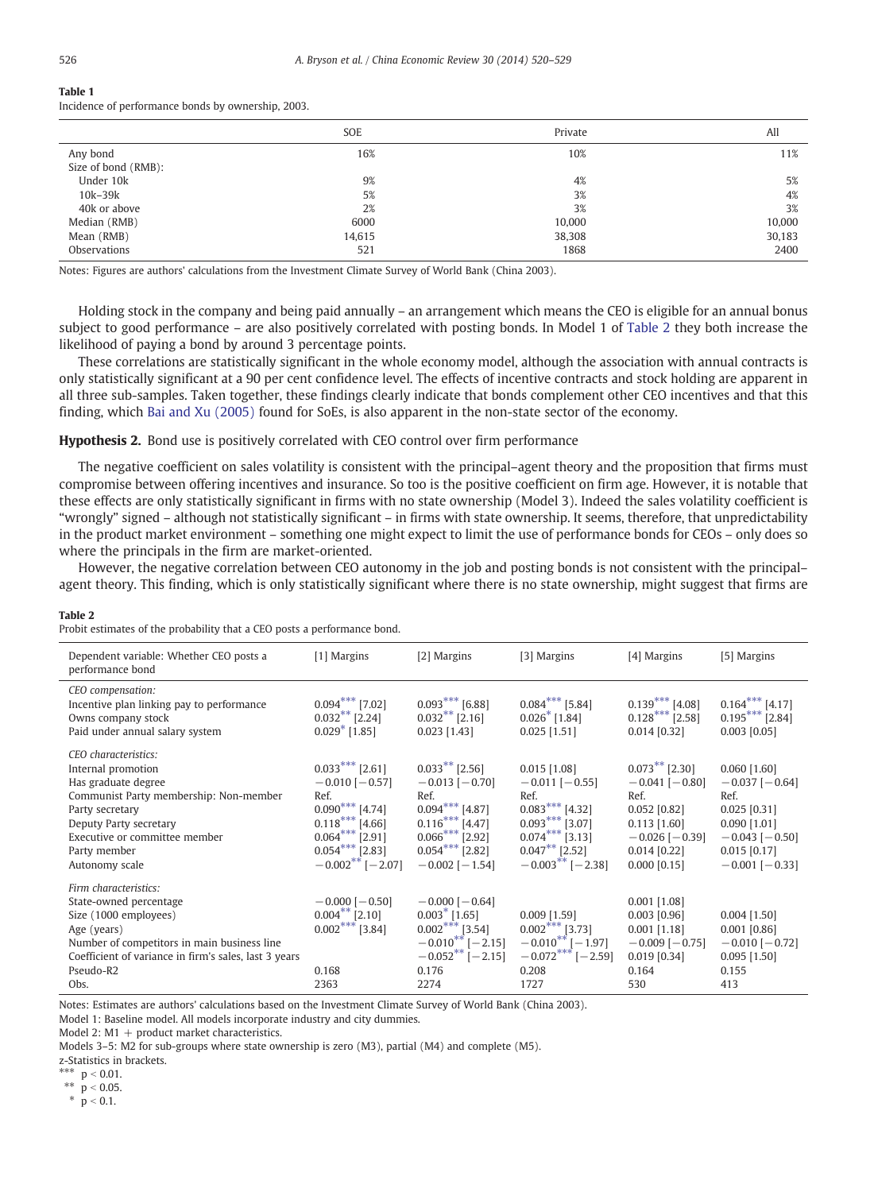# <span id="page-6-0"></span>Table 1

Incidence of performance bonds by ownership, 2003.

|                     | SOE    | Private | All    |
|---------------------|--------|---------|--------|
| Any bond            | 16%    | 10%     | 11%    |
| Size of bond (RMB): |        |         |        |
| Under 10k           | 9%     | 4%      | 5%     |
| 10k-39k             | 5%     | 3%      | 4%     |
| 40k or above        | 2%     | 3%      | 3%     |
| Median (RMB)        | 6000   | 10,000  | 10,000 |
| Mean (RMB)          | 14,615 | 38,308  | 30,183 |
| Observations        | 521    | 1868    | 2400   |

Notes: Figures are authors' calculations from the Investment Climate Survey of World Bank (China 2003).

Holding stock in the company and being paid annually – an arrangement which means the CEO is eligible for an annual bonus subject to good performance – are also positively correlated with posting bonds. In Model 1 of Table 2 they both increase the likelihood of paying a bond by around 3 percentage points.

These correlations are statistically significant in the whole economy model, although the association with annual contracts is only statistically significant at a 90 per cent confidence level. The effects of incentive contracts and stock holding are apparent in all three sub-samples. Taken together, these findings clearly indicate that bonds complement other CEO incentives and that this finding, which [Bai and Xu \(2005\)](#page-9-0) found for SoEs, is also apparent in the non-state sector of the economy.

# Hypothesis 2. Bond use is positively correlated with CEO control over firm performance

The negative coefficient on sales volatility is consistent with the principal–agent theory and the proposition that firms must compromise between offering incentives and insurance. So too is the positive coefficient on firm age. However, it is notable that these effects are only statistically significant in firms with no state ownership (Model 3). Indeed the sales volatility coefficient is "wrongly" signed – although not statistically significant – in firms with state ownership. It seems, therefore, that unpredictability in the product market environment – something one might expect to limit the use of performance bonds for CEOs – only does so where the principals in the firm are market-oriented.

However, the negative correlation between CEO autonomy in the job and posting bonds is not consistent with the principal– agent theory. This finding, which is only statistically significant where there is no state ownership, might suggest that firms are

#### Table 2

Probit estimates of the probability that a CEO posts a performance bond.

| Dependent variable: Whether CEO posts a<br>performance bond                                                                                                                                                                 | [1] Margins                                                                                                                                                              | [2] Margins                                                                                                                                                               | [3] Margins                                                                                                                                                     | [4] Margins                                                                                                                                       | [5] Margins                                                                                                                                          |
|-----------------------------------------------------------------------------------------------------------------------------------------------------------------------------------------------------------------------------|--------------------------------------------------------------------------------------------------------------------------------------------------------------------------|---------------------------------------------------------------------------------------------------------------------------------------------------------------------------|-----------------------------------------------------------------------------------------------------------------------------------------------------------------|---------------------------------------------------------------------------------------------------------------------------------------------------|------------------------------------------------------------------------------------------------------------------------------------------------------|
| CEO compensation:<br>Incentive plan linking pay to performance<br>Owns company stock<br>Paid under annual salary system                                                                                                     | $0.094***$ [7.02]<br>$0.032***$ [2.24]<br>$0.029*$ [1.85]                                                                                                                | $0.093***$ [6.88]<br>$0.032***$ [2.16]<br>$0.023$ [1.43]                                                                                                                  | $0.084***$ [5.84]<br>$0.026*$ [1.84]<br>$0.025$ [1.51]                                                                                                          | $0.139***$ [4.08]<br>$0.128***$ [2.58]<br>$0.014$ [0.32]                                                                                          | $0.164***$ [4.17]<br>$0.195***$ [2.84]<br>$0.003$ [0.05]                                                                                             |
| CEO characteristics:<br>Internal promotion<br>Has graduate degree<br>Communist Party membership: Non-member<br>Party secretary<br>Deputy Party secretary<br>Executive or committee member<br>Party member<br>Autonomy scale | $0.033***$ [2.61]<br>$-0.010$ [ $-0.57$ ]<br>Ref.<br>$0.090***$<br>[4.74]<br>$0.118***$<br>[4.66]<br>$0.064***$<br>[2.91]<br>$0.054***$<br>[2.83]<br>$-0.002$ ** [-2.07] | $0.033***$ [2.56]<br>$-0.013$ [ $-0.70$ ]<br>Ref.<br>$0.094***$<br>[4.87]<br>$0.116***$<br>[4.47]<br>$0.066***$<br>[2.92]<br>$0.054***$<br>[2.82]<br>$-0.002$ [ $-1.54$ ] | $0.015$ [1.08]<br>$-0.011$ [ $-0.55$ ]<br>Ref.<br>$0.083***$ [4.32]<br>$0.093***$<br>[3.07]<br>$0.074***$<br>[3.13]<br>$0.047***$ [2.52]<br>$-0.003***$ [-2.38] | $0.073***$ [2.30]<br>$-0.041$ [ $-0.80$ ]<br>Ref.<br>$0.052$ [0.82]<br>$0.113$ [1.60]<br>$-0.026$ [ $-0.39$ ]<br>$0.014$ [0.22]<br>$0.000$ [0.15] | $0.060$ [1.60]<br>$-0.037$ [ $-0.64$ ]<br>Ref.<br>$0.025$ [0.31]<br>$0.090$ [1.01]<br>$-0.043$ [ $-0.50$ ]<br>$0.015$ [0.17]<br>$-0.001$ [ $-0.33$ ] |
| Firm characteristics:<br>State-owned percentage<br>Size (1000 employees)<br>Age (years)<br>Number of competitors in main business line<br>Coefficient of variance in firm's sales, last 3 years<br>Pseudo-R2<br>Obs.        | $-0.000$ [ $-0.50$ ]<br>$0.004***$ [2.10]<br>$0.002***$ [3.84]<br>0.168<br>2363                                                                                          | $-0.000$ [ $-0.64$ ]<br>$0.003*$ [1.65]<br>$0.002***$ [3.54]<br>$-0.010^{**}$ [-2.15]<br>$-0.052**$ $\left[-2.15\right]$<br>0.176<br>2274                                 | $0.009$ [1.59]<br>$0.002***$ [3.73]<br>$-0.010^{**}$ [-1.97]<br>$-0.072$ <sup>*</sup><br>$[-2.59]$<br>0.208<br>1727                                             | $0.001$ [1.08]<br>$0.003$ [0.96]<br>$0.001$ [1.18]<br>$-0.009$ [ $-0.75$ ]<br>$0.019$ [0.34]<br>0.164<br>530                                      | $0.004$ [1.50]<br>$0.001$ [0.86]<br>$-0.010$ [ $-0.72$ ]<br>$0.095$ [1.50]<br>0.155<br>413                                                           |

Notes: Estimates are authors' calculations based on the Investment Climate Survey of World Bank (China 2003).

Model 1: Baseline model. All models incorporate industry and city dummies.

Model 2:  $M1$  + product market characteristics.

Models 3–5: M2 for sub-groups where state ownership is zero (M3), partial (M4) and complete (M5).

z-Statistics in brackets.

\*\*\*  $p < 0.01$ .

\*\*  $p < 0.05$ .

\*  $p < 0.1$ .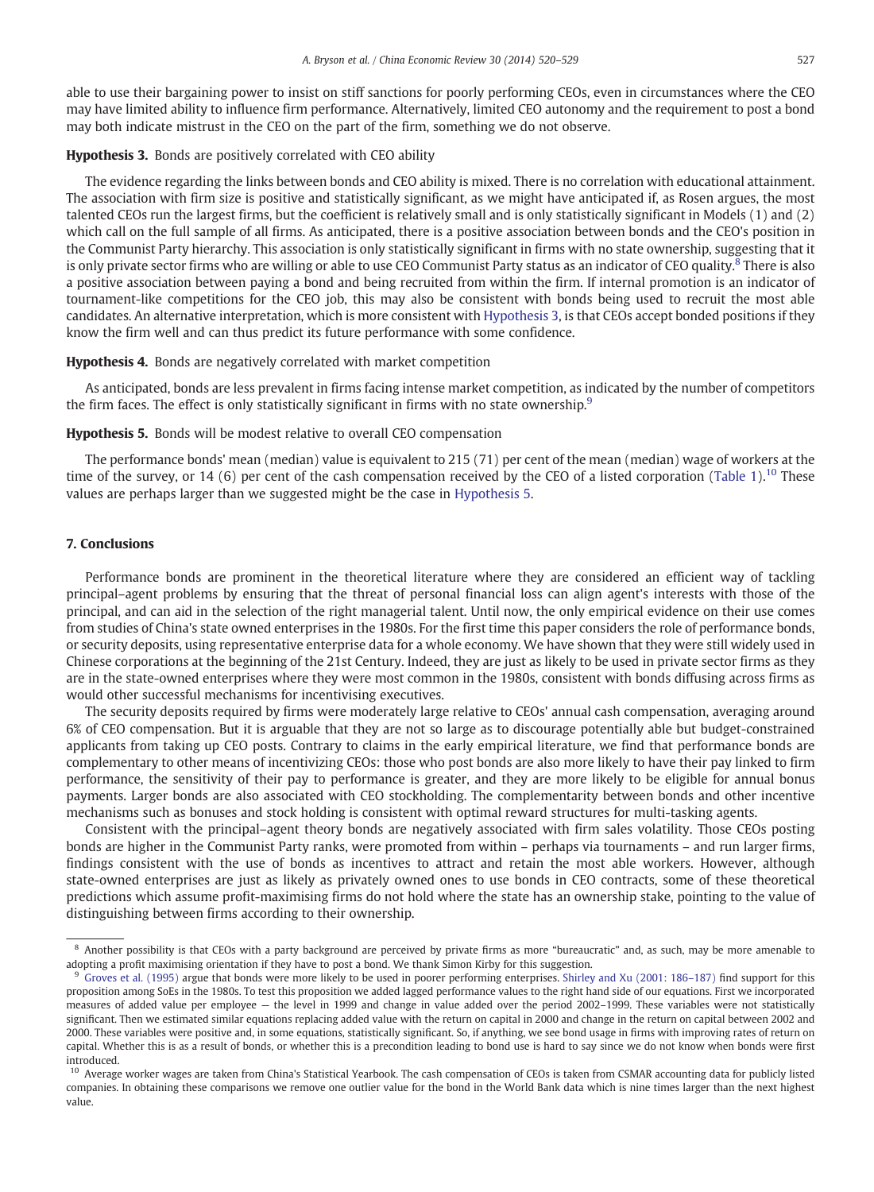<span id="page-7-0"></span>able to use their bargaining power to insist on stiff sanctions for poorly performing CEOs, even in circumstances where the CEO may have limited ability to influence firm performance. Alternatively, limited CEO autonomy and the requirement to post a bond may both indicate mistrust in the CEO on the part of the firm, something we do not observe.

# Hypothesis 3. Bonds are positively correlated with CEO ability

The evidence regarding the links between bonds and CEO ability is mixed. There is no correlation with educational attainment. The association with firm size is positive and statistically significant, as we might have anticipated if, as Rosen argues, the most talented CEOs run the largest firms, but the coefficient is relatively small and is only statistically significant in Models (1) and (2) which call on the full sample of all firms. As anticipated, there is a positive association between bonds and the CEO's position in the Communist Party hierarchy. This association is only statistically significant in firms with no state ownership, suggesting that it is only private sector firms who are willing or able to use CEO Communist Party status as an indicator of CEO quality.<sup>8</sup> There is also a positive association between paying a bond and being recruited from within the firm. If internal promotion is an indicator of tournament-like competitions for the CEO job, this may also be consistent with bonds being used to recruit the most able candidates. An alternative interpretation, which is more consistent with Hypothesis 3, is that CEOs accept bonded positions if they know the firm well and can thus predict its future performance with some confidence.

# Hypothesis 4. Bonds are negatively correlated with market competition

As anticipated, bonds are less prevalent in firms facing intense market competition, as indicated by the number of competitors the firm faces. The effect is only statistically significant in firms with no state ownership.<sup>9</sup>

# Hypothesis 5. Bonds will be modest relative to overall CEO compensation

The performance bonds' mean (median) value is equivalent to 215 (71) per cent of the mean (median) wage of workers at the time of the survey, or 14 (6) per cent of the cash compensation received by the CEO of a listed corporation ([Table 1\)](#page-6-0).<sup>10</sup> These values are perhaps larger than we suggested might be the case in Hypothesis 5.

# 7. Conclusions

Performance bonds are prominent in the theoretical literature where they are considered an efficient way of tackling principal–agent problems by ensuring that the threat of personal financial loss can align agent's interests with those of the principal, and can aid in the selection of the right managerial talent. Until now, the only empirical evidence on their use comes from studies of China's state owned enterprises in the 1980s. For the first time this paper considers the role of performance bonds, or security deposits, using representative enterprise data for a whole economy. We have shown that they were still widely used in Chinese corporations at the beginning of the 21st Century. Indeed, they are just as likely to be used in private sector firms as they are in the state-owned enterprises where they were most common in the 1980s, consistent with bonds diffusing across firms as would other successful mechanisms for incentivising executives.

The security deposits required by firms were moderately large relative to CEOs' annual cash compensation, averaging around 6% of CEO compensation. But it is arguable that they are not so large as to discourage potentially able but budget-constrained applicants from taking up CEO posts. Contrary to claims in the early empirical literature, we find that performance bonds are complementary to other means of incentivizing CEOs: those who post bonds are also more likely to have their pay linked to firm performance, the sensitivity of their pay to performance is greater, and they are more likely to be eligible for annual bonus payments. Larger bonds are also associated with CEO stockholding. The complementarity between bonds and other incentive mechanisms such as bonuses and stock holding is consistent with optimal reward structures for multi-tasking agents.

Consistent with the principal–agent theory bonds are negatively associated with firm sales volatility. Those CEOs posting bonds are higher in the Communist Party ranks, were promoted from within – perhaps via tournaments – and run larger firms, findings consistent with the use of bonds as incentives to attract and retain the most able workers. However, although state-owned enterprises are just as likely as privately owned ones to use bonds in CEO contracts, some of these theoretical predictions which assume profit-maximising firms do not hold where the state has an ownership stake, pointing to the value of distinguishing between firms according to their ownership.

<sup>&</sup>lt;sup>8</sup> Another possibility is that CEOs with a party background are perceived by private firms as more "bureaucratic" and, as such, may be more amenable to adopting a profit maximising orientation if they have to post a bond. We thank Simon Kirby for this suggestion.

 $9$  [Groves et al. \(1995\)](#page-9-0) argue that bonds were more likely to be used in poorer performing enterprises. [Shirley and Xu \(2001: 186](#page-9-0)–187) find support for this proposition among SoEs in the 1980s. To test this proposition we added lagged performance values to the right hand side of our equations. First we incorporated measures of added value per employee — the level in 1999 and change in value added over the period 2002–1999. These variables were not statistically significant. Then we estimated similar equations replacing added value with the return on capital in 2000 and change in the return on capital between 2002 and 2000. These variables were positive and, in some equations, statistically significant. So, if anything, we see bond usage in firms with improving rates of return on capital. Whether this is as a result of bonds, or whether this is a precondition leading to bond use is hard to say since we do not know when bonds were first introduced.

<sup>&</sup>lt;sup>10</sup> Average worker wages are taken from China's Statistical Yearbook. The cash compensation of CEOs is taken from CSMAR accounting data for publicly listed companies. In obtaining these comparisons we remove one outlier value for the bond in the World Bank data which is nine times larger than the next highest value.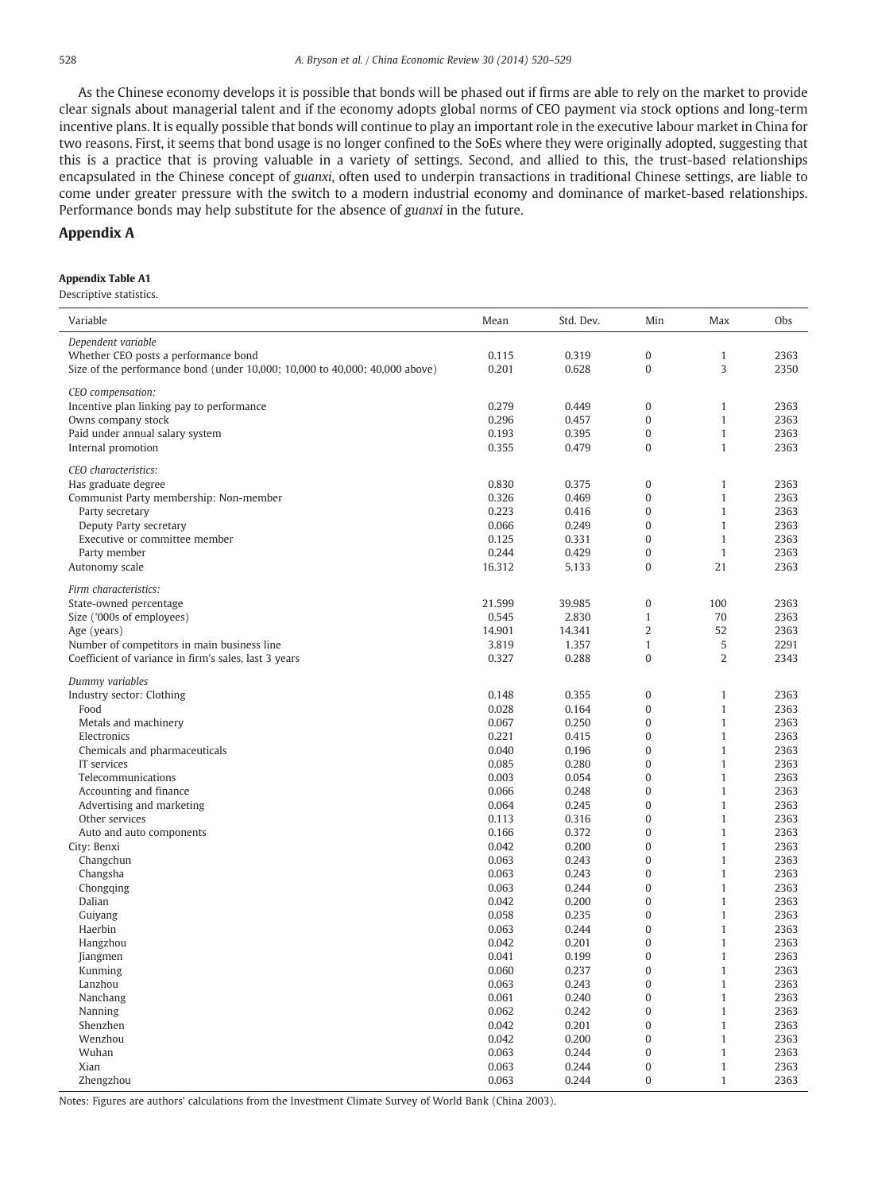As the Chinese economy develops it is possible that bonds will be phased out if firms are able to rely on the market to provide clear signals about managerial talent and if the economy adopts global norms of CEO payment via stock options and long-term incentive plans. It is equally possible that bonds will continue to play an important role in the executive labour market in China for two reasons. First, it seems that bond usage is no longer confined to the SoEs where they were originally adopted, suggesting that this is a practice that is proving valuable in a variety of settings. Second, and allied to this, the trust-based relationships encapsulated in the Chinese concept of guanxi, often used to underpin transactions in traditional Chinese settings, are liable to come under greater pressure with the switch to a modern industrial economy and dominance of market-based relationships. Performance bonds may help substitute for the absence of guanxi in the future.

# Appendix A

# Appendix Table A1

Descriptive statistics.

l.

| Variable                                                                    | Mean   | Std. Dev. | Min              | Max            | Obs  |
|-----------------------------------------------------------------------------|--------|-----------|------------------|----------------|------|
| Dependent variable                                                          |        |           |                  |                |      |
| Whether CEO posts a performance bond                                        | 0.115  | 0.319     | $\boldsymbol{0}$ | $\mathbf{1}$   | 2363 |
| Size of the performance bond (under 10,000; 10,000 to 40,000; 40,000 above) | 0.201  | 0.628     | $\overline{0}$   | 3              | 2350 |
| CEO compensation:                                                           |        |           |                  |                |      |
| Incentive plan linking pay to performance                                   | 0.279  | 0.449     | $\overline{0}$   | $\mathbf{1}$   | 2363 |
| Owns company stock                                                          | 0.296  | 0.457     | $\overline{0}$   | $\mathbf{1}$   | 2363 |
| Paid under annual salary system                                             | 0.193  | 0.395     | $\boldsymbol{0}$ | $\mathbf{1}$   | 2363 |
| Internal promotion                                                          | 0.355  | 0.479     | $\Omega$         | $\mathbf{1}$   | 2363 |
|                                                                             |        |           |                  |                |      |
| CEO characteristics:                                                        |        |           |                  |                |      |
| Has graduate degree                                                         | 0.830  | 0.375     | $\boldsymbol{0}$ | $\mathbf{1}$   | 2363 |
| Communist Party membership: Non-member                                      | 0.326  | 0.469     | $\boldsymbol{0}$ | $\mathbf{1}$   | 2363 |
| Party secretary                                                             | 0.223  | 0.416     | $\theta$         | $\mathbf{1}$   | 2363 |
| Deputy Party secretary                                                      | 0.066  | 0.249     | $\mathbf{0}$     | $\mathbf{1}$   | 2363 |
| Executive or committee member                                               | 0.125  | 0.331     | $\mathbf{0}$     | $\mathbf{1}$   | 2363 |
| Party member                                                                | 0.244  | 0.429     | $\mathbf{0}$     | $\mathbf{1}$   | 2363 |
| Autonomy scale                                                              | 16.312 | 5.133     | $\overline{0}$   | 21             | 2363 |
| Firm characteristics:                                                       |        |           |                  |                |      |
| State-owned percentage                                                      | 21.599 | 39.985    | $\boldsymbol{0}$ | 100            | 2363 |
| Size ('000s of employees)                                                   | 0.545  | 2.830     | $\mathbf{1}$     | 70             | 2363 |
| Age (years)                                                                 | 14.901 | 14.341    | $\overline{2}$   | 52             | 2363 |
| Number of competitors in main business line                                 | 3.819  | 1.357     | $\mathbf{1}$     | 5              | 2291 |
| Coefficient of variance in firm's sales, last 3 years                       | 0.327  | 0.288     | $\overline{0}$   | $\overline{2}$ | 2343 |
|                                                                             |        |           |                  |                |      |
| Dummy variables                                                             |        |           | $\boldsymbol{0}$ | $\mathbf{1}$   |      |
| Industry sector: Clothing                                                   | 0.148  | 0.355     | $\overline{0}$   |                | 2363 |
| Food                                                                        | 0.028  | 0.164     |                  | $\mathbf{1}$   | 2363 |
| Metals and machinery                                                        | 0.067  | 0.250     | $\mathbf{0}$     | $\mathbf{1}$   | 2363 |
| Electronics                                                                 | 0.221  | 0.415     | $\boldsymbol{0}$ | $\mathbf{1}$   | 2363 |
| Chemicals and pharmaceuticals                                               | 0.040  | 0.196     | $\overline{0}$   | $\mathbf{1}$   | 2363 |
| IT services                                                                 | 0.085  | 0.280     | $\theta$         | $\mathbf{1}$   | 2363 |
| Telecommunications                                                          | 0.003  | 0.054     | $\mathbf{0}$     | $\mathbf{1}$   | 2363 |
| Accounting and finance                                                      | 0.066  | 0.248     | $\mathbf{0}$     | $\mathbf{1}$   | 2363 |
| Advertising and marketing                                                   | 0.064  | 0.245     | $\mathbf{0}$     | $\mathbf{1}$   | 2363 |
| Other services                                                              | 0.113  | 0.316     | $\mathbf{0}$     | $\mathbf{1}$   | 2363 |
| Auto and auto components                                                    | 0.166  | 0.372     | $\mathbf{0}$     | $\mathbf{1}$   | 2363 |
| City: Benxi                                                                 | 0.042  | 0.200     | $\boldsymbol{0}$ | $\mathbf{1}$   | 2363 |
| Changchun                                                                   | 0.063  | 0.243     | $\overline{0}$   | $\mathbf{1}$   | 2363 |
| Changsha                                                                    | 0.063  | 0.243     | $\boldsymbol{0}$ | $\mathbf{1}$   | 2363 |
| Chongqing                                                                   | 0.063  | 0.244     | $\overline{0}$   | $\mathbf{1}$   | 2363 |
| Dalian                                                                      | 0.042  | 0.200     | $\mathbf{0}$     | $\mathbf{1}$   | 2363 |
| Guiyang                                                                     | 0.058  | 0.235     | $\mathbf{0}$     | $\mathbf{1}$   | 2363 |
| Haerbin                                                                     | 0.063  | 0.244     | $\overline{0}$   | $\mathbf{1}$   | 2363 |
| Hangzhou                                                                    | 0.042  | 0.201     | $\mathbf{0}$     | $\mathbf{1}$   | 2363 |
| Jiangmen                                                                    | 0.041  | 0.199     | $\boldsymbol{0}$ | $\mathbf{1}$   | 2363 |
| Kunming                                                                     | 0.060  | 0.237     | $\boldsymbol{0}$ | $\mathbf{1}$   | 2363 |
| Lanzhou                                                                     | 0.063  | 0.243     | $\overline{0}$   | $\mathbf{1}$   | 2363 |
| Nanchang                                                                    | 0.061  | 0.240     | $\overline{0}$   | $\mathbf{1}$   | 2363 |
| Nanning                                                                     | 0.062  | 0.242     | $\boldsymbol{0}$ | $\mathbf{1}$   | 2363 |
| Shenzhen                                                                    | 0.042  | 0.201     | $\boldsymbol{0}$ | $\mathbf{1}$   | 2363 |
| Wenzhou                                                                     | 0.042  | 0.200     | $\overline{0}$   | $\mathbf{1}$   | 2363 |
| Wuhan                                                                       | 0.063  | 0.244     | $\overline{0}$   | $\mathbf{1}$   | 2363 |
| Xian                                                                        | 0.063  | 0.244     | $\mathbf{0}$     | $\mathbf{1}$   | 2363 |
| Zhengzhou                                                                   | 0.063  | 0.244     | $\Omega$         | $\mathbf{1}$   | 2363 |

Notes: Figures are authors' calculations from the Investment Climate Survey of World Bank (China 2003).